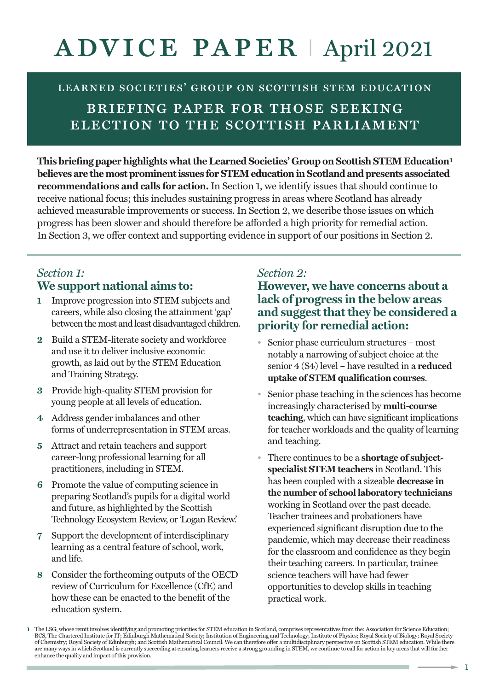# advice paper <sup>I</sup> April <sup>2021</sup>

LEARNED SOCIETIES' GROUP ON SCOTTISH STEM EDUCATION briefing paper for those seeking election to the scottish parliament

**This briefing paper highlights whattheLearned Societies' Group on Scottish STEMEducation1 believes are themost prominentissues forSTEMeducationinScotlandandpresents associated recommendations and calls for action.** In Section 1, we identify issues that should continue to receive national focus; this includes sustaining progress in areas where Scotland has already achieved measurable improvements or success. In Section 2, we describe those issues on which progress has been slower and should therefore be afforded a high priority for remedial action. In Section 3, we offer context and supporting evidence in support of our positions in Section 2.

# *Section 1:* **We support national aims to:**

- **1** Improve progression into STEM subjects and careers, while also closing the attainment 'gap' between the most and least disadvantaged children.
- **2** Build a STEM-literate society and workforce and use it to deliver inclusive economic growth, as laid out by the STEM Education and Training Strategy.
- **3** Provide high-quality STEM provision for young people at all levels of education.
- **4** Address gender imbalances and other forms of underrepresentation in STEM areas.
- **5** Attract and retain teachers and support career-long professional learning for all practitioners, including in STEM.
- **6** Promote the value of computing science in preparing Scotland's pupils for a digital world and future, as highlighted by the Scottish Technology Ecosystem Review, or 'Logan Review.'
- **7** Support the development of interdisciplinary learning as a central feature of school, work, and life.
- **8** Consider the forthcoming outputs of the OECD review of Curriculum for Excellence (CfE) and how these can be enacted to the benefit of the education system.

# *Section 2:*

**However, we have concerns about a lack of progress in the below areas and suggestthatthey be considered a priority for remedial action:**

- Senior phase curriculum structures most notably a narrowing of subject choice at the senior 4 (S4) level – have resulted in a **reduced uptake of STEM qualification courses**.
- Senior phase teaching in the sciences has become increasingly characterised by **multi-course teaching**, which can have significant implications for teacher workloads and the quality of learning and teaching.
- There continues to be a **shortage of subjectspecialist STEM teachers** in Scotland. This has been coupled with a sizeable **decrease in the number of school laboratory technicians** working in Scotland over the past decade. Teacher trainees and probationers have experienced significant disruption due to the pandemic, which may decrease their readiness for the classroom and confidence as they begin their teaching careers. In particular, trainee science teachers will have had fewer opportunities to develop skills in teaching practical work.

The LSG, whose remit involves identifying and promoting priorities for STEM education in Scotland, comprises representatives from the: Association for Science Education;<br>BCS, The Chartered Institute for IT: Edinburgh Mathe of Chemistry; Royal Society of Edinburgh; and Scottish Mathematical Council. We can therefore offer a multidisciplinary perspective on Scottish STEM education. While there are many ways in which Scotland is currently succeeding at ensuring learners receive a strong grounding in STEM, we continue to call for action in key areas that will further enhance the quality and impact of this provision.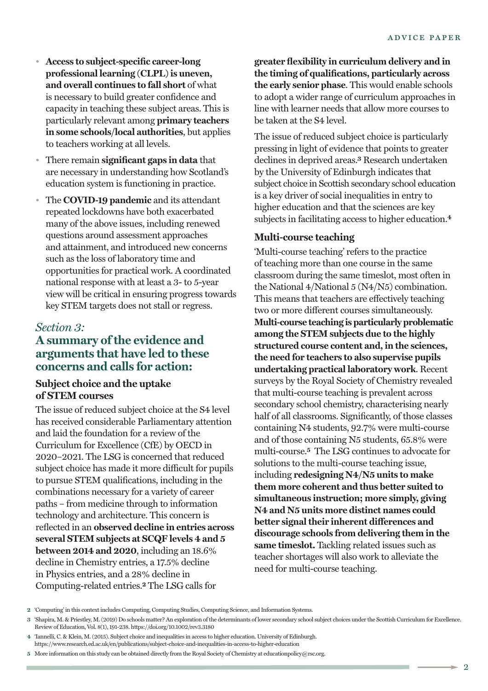- **Access to subject-specific career-long professional learning (CLPL)is uneven, and overall continues to fall short** of what is necessary to build greater confidence and capacity in teaching these subject areas. This is particularly relevant among **primary teachers in some schools/local authorities**, but applies to teachers working at all levels.
- There remain **significant gaps in data** that are necessary in understanding how Scotland's education system is functioning in practice.
- The **COVID-19 pandemic** and its attendant repeated lockdowns have both exacerbated many of the above issues, including renewed questions around assessment approaches and attainment, and introduced new concerns such as the loss of laboratory time and opportunities for practical work. A coordinated national response with at least a 3- to 5-year view will be critical in ensuring progress towards key STEM targets does not stall or regress.

# *Section 3:*

# **A summary ofthe evidence and arguments that have led to these concerns and calls for action:**

## **Subject choice and the uptake of STEM courses**

The issue of reduced subject choice at the S4 level has received considerable Parliamentary attention and laid the foundation for a review of the Curriculum for Excellence (CfE) by OECD in 2020–2021. The LSG is concerned that reduced subject choice has made it more difficult for pupils to pursue STEM qualifications, including in the combinations necessary for a variety of career paths – from medicine through to information technology and architecture. This concern is reflected in an **observed decline in entries across several STEM subjects at SCQF levels 4 and 5 between 2014 and 2020**, including an 18.6% decline in Chemistry entries, a 17.5% decline in Physics entries, and a 28% decline in Computing-related entries. **<sup>2</sup>** The LSG calls for

**greater flexibility in curriculum delivery and in the timing of qualifications, particularly across the early senior phase**. This would enable schools to adopt a wider range of curriculum approaches in line with learner needs that allow more courses to be taken at the S4 level.

The issue of reduced subject choice is particularly pressing in light of evidence that points to greater declines in deprived areas. **<sup>3</sup>** Research undertaken by the University of Edinburgh indicates that subject choice in Scottish secondary school education is a key driver of social inequalities in entry to higher education and that the sciences are key subjects in facilitating access to higher education. **4**

## **Multi-course teaching**

'Multi-course teaching' refers to the practice of teaching more than one course in the same classroom during the same timeslot, most often in the National 4/National 5 (N4/N5) combination. This means that teachers are effectively teaching two or more different courses simultaneously. **Multi-course teaching is particularly problematic among the STEM subjects due to the highly structured course content and, in the sciences, the need for teachers to also supervise pupils undertaking practical laboratory work**. Recent surveys by the Royal Society of Chemistry revealed that multi-course teaching is prevalent across secondary school chemistry, characterising nearly half of all classrooms. Significantly, of those classes containing N4 students, 92.7% were multi-course and of those containing N5 students, 65.8% were multi-course. **<sup>5</sup>** The LSG continues to advocate for solutions to the multi-course teaching issue, including **redesigning N4/N5 units to make them more coherent and thus better suited to simultaneous instruction; more simply, giving N4 and N5 units more distinct names could better signaltheir inherent differences and discourage schools from delivering them in the same timeslot.** Tackling related issues such as teacher shortages will also work to alleviate the need for multi-course teaching.

**<sup>2</sup>** 'Computing' in this context includes Computing, Computing Studies, Computing Science, and Information Systems.

**<sup>3</sup>** 'Shapira, M. & Priestley, M.(2019) Do schools matter? An exploration of the determinants of lower secondary school subject choices under the Scottish Curriculum for Excellence. Review of Education, Vol. 8(1), 191-238. https://doi.org/10.1002/rev3.3180

**<sup>4</sup>** 'Iannelli, C. & Klein, M.(2015). Subject choice and inequalities in access to higher education. University of Edinburgh. https://www.research.ed.ac.uk/en/publications/subject-choice-and-inequalities-in-access-to-higher-education

**<sup>5</sup>** More information on this study can be obtained directly from the Royal Society of Chemistry at educationpolicy@rsc.org.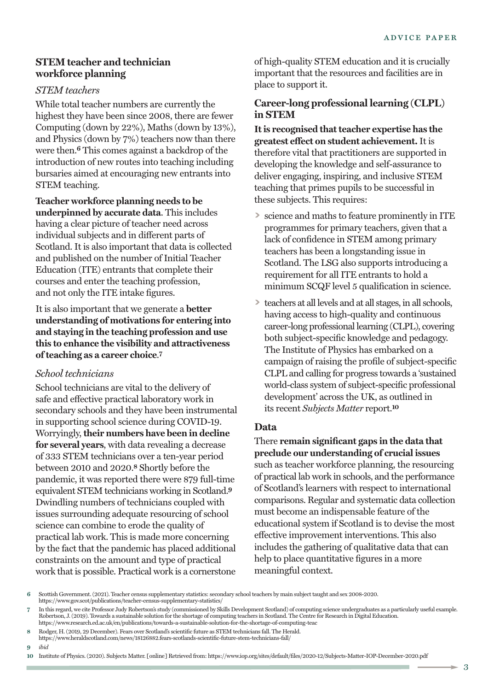## **STEM teacher and technician workforce planning**

#### *STEM teachers*

While total teacher numbers are currently the highest they have been since 2008, there are fewer Computing (down by 22%), Maths (down by 13%), and Physics (down by 7%) teachers now than there were then. **<sup>6</sup>** This comes against a backdrop of the introduction of new routes into teaching including bursaries aimed at encouraging new entrants into STEM teaching.

#### **Teacher workforce planning needs to be**

**underpinned by accurate data**. This includes having a clear picture of teacher need across individual subjects and in different parts of Scotland. It is also important that data is collected and published on the number of Initial Teacher Education (ITE) entrants that complete their courses and enter the teaching profession, and not only the ITE intake figures.

It is also important that we generate a **better understanding of motivations for entering into and staying in the teaching profession and use this to enhance the visibility and attractiveness ofteaching as a career choice**. **7**

#### *School technicians*

School technicians are vital to the delivery of safe and effective practical laboratory work in secondary schools and they have been instrumental in supporting school science during COVID-19. Worryingly, **their numbers have been in decline for several years**, with data revealing a decrease of 333 STEM technicians over a ten-year period between 2010 and 2020. **<sup>8</sup>** Shortly before the pandemic, it was reported there were 879 full-time equivalent STEM technicians working in Scotland. **9** Dwindling numbers of technicians coupled with issues surrounding adequate resourcing of school science can combine to erode the quality of practical lab work. This is made more concerning by the fact that the pandemic has placed additional constraints on the amount and type of practical work that is possible. Practical work is a cornerstone

of high-quality STEM education and it is crucially important that the resources and facilities are in place to support it.

# **Career-long professional learning (CLPL) in STEM**

**Itis recognised thatteacher expertise has the greatest effect on student achievement.** It is therefore vital that practitioners are supported in developing the knowledge and self-assurance to deliver engaging, inspiring, and inclusive STEM teaching that primes pupils to be successful in these subjects. This requires:

- **>** science and maths to feature prominently in ITE programmes for primary teachers, given that a lack of confidence in STEM among primary teachers has been a longstanding issue in Scotland. The LSG also supports introducing a requirement for all ITE entrants to hold a minimum SCQF level 5 qualification in science.
- **>** teachers at all levels and at all stages, in all schools, having access to high-quality and continuous career-long professional learning (CLPL), covering both subject-specific knowledge and pedagogy. The Institute of Physics has embarked on a campaign of raising the profile of subject-specific CLPL and calling for progress towards a 'sustained world-class system of subject-specific professional development' across the UK, as outlined in its recent *Subjects Matter* report. **10**

## **Data**

# There **remain significant gaps in the data that preclude our understanding of crucial issues**

such as teacher workforce planning, the resourcing of practical lab work in schools, and the performance of Scotland's learners with respect to international comparisons. Regular and systematic data collection must become an indispensable feature of the educational system if Scotland is to devise the most effective improvement interventions. This also includes the gathering of qualitative data that can help to place quantitative figures in a more meaningful context.

**9** *ibid*

**<sup>6</sup>** Scottish Government.(2021). Teacher census supplementary statistics: secondary school teachers by main subject taught and sex 2008-2020. https://www.gov.scot/publications/teacher-census-supplementary-statistics/

**<sup>7</sup>** In this regard, we cite Professor Judy Robertson's study (commissioned by Skills Development Scotland) of computing science undergraduates as a particularly useful example. Robertson, J. (2019). Towards a sustainable solution for the shortage of computing teachers in Scotland. The Centre for Research in Digital Education.<br>https://www.research.ed.ac.uk/en/publications/towards-a-sustainable-sol

**<sup>8</sup>** Rodger, H.(2019, 29 December). Fears over Scotland's scientific future as STEM technicians fall. The Herald.

https://www.heraldscotland.com/news/18126882.fears-scotlands-scientific-future-stem-technicians-fall/

**<sup>10</sup>** Institute of Physics.(2020). Subjects Matter. [online] Retrieved from: https://www.iop.org/sites/default/files/2020-12/Subjects-Matter-IOP-December-2020.pdf